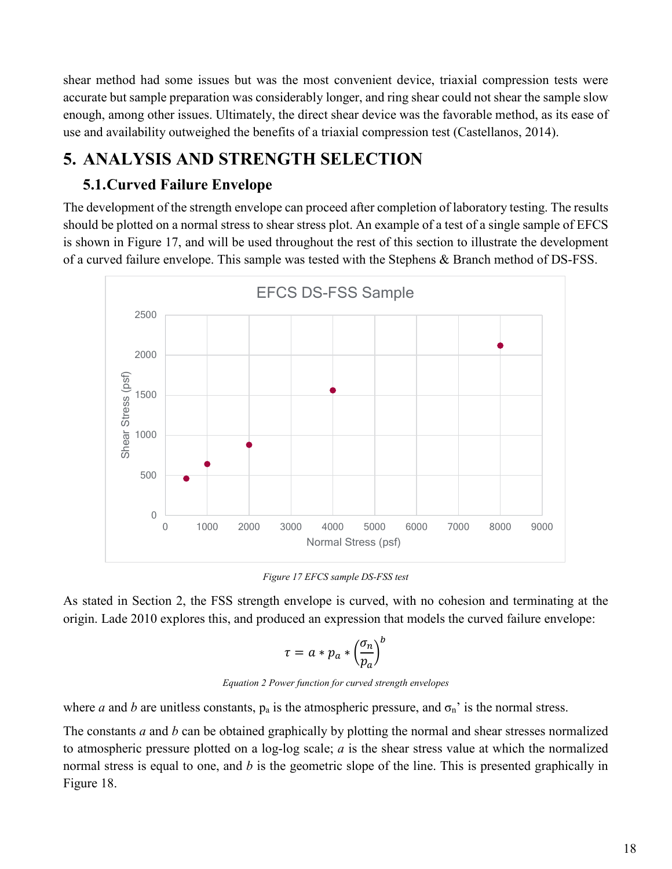shear method had some issues but was the most convenient device, triaxial compression tests were accurate but sample preparation was considerably longer, and ring shear could not shear the sample slow enough, among other issues. Ultimately, the direct shear device was the favorable method, as its ease of use and availability outweighed the benefits of a triaxial compression test (Castellanos, 2014).

# **5. ANALYSIS AND STRENGTH SELECTION**

### **5.1.Curved Failure Envelope**

The development of the strength envelope can proceed after completion of laboratory testing. The results should be plotted on a normal stress to shear stress plot. An example of a test of a single sample of EFCS is shown in [Figure 17,](#page-0-0) and will be used throughout the rest of this section to illustrate the development of a curved failure envelope. This sample was tested with the Stephens & Branch method of DS-FSS.



*Figure 17 EFCS sample DS-FSS test*

<span id="page-0-0"></span>As stated in Section 2, the FSS strength envelope is curved, with no cohesion and terminating at the origin. Lade 2010 explores this, and produced an expression that models the curved failure envelope:

$$
\tau = a * p_a * \left(\frac{\sigma_n}{p_a}\right)^b
$$

*Equation 2 Power function for curved strength envelopes*

where *a* and *b* are unitless constants,  $p_a$  is the atmospheric pressure, and  $\sigma_n$ ' is the normal stress.

The constants *a* and *b* can be obtained graphically by plotting the normal and shear stresses normalized to atmospheric pressure plotted on a log-log scale; *a* is the shear stress value at which the normalized normal stress is equal to one, and *b* is the geometric slope of the line. This is presented graphically in [Figure 18.](#page-1-0)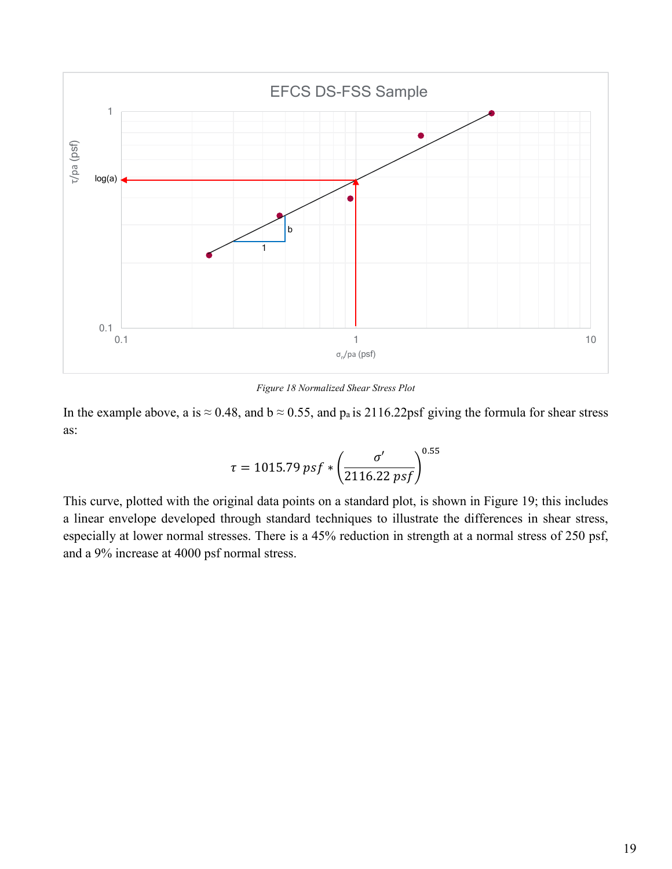

*Figure 18 Normalized Shear Stress Plot*

<span id="page-1-0"></span>In the example above, a is  $\approx 0.48$ , and  $b \approx 0.55$ , and  $p_a$  is 2116.22psf giving the formula for shear stress as:

$$
\tau = 1015.79 \, psf * \left(\frac{\sigma'}{2116.22 \, psf}\right)^{0.55}
$$

This curve, plotted with the original data points on a standard plot, is shown in [Figure 19;](#page-2-0) this includes a linear envelope developed through standard techniques to illustrate the differences in shear stress, especially at lower normal stresses. There is a 45% reduction in strength at a normal stress of 250 psf, and a 9% increase at 4000 psf normal stress.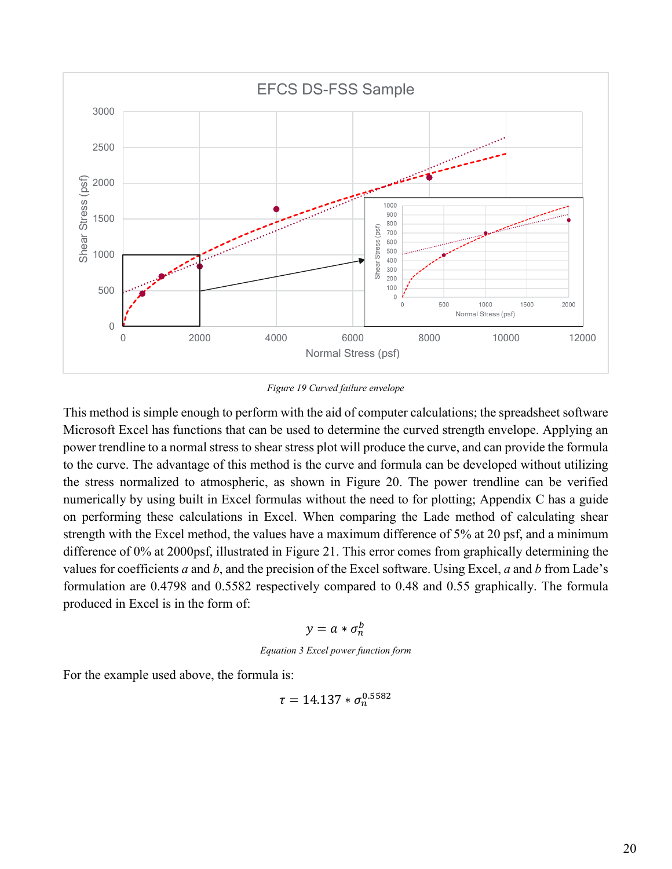

*Figure 19 Curved failure envelope*

<span id="page-2-0"></span>This method is simple enough to perform with the aid of computer calculations; the spreadsheet software Microsoft Excel has functions that can be used to determine the curved strength envelope. Applying an power trendline to a normal stress to shear stress plot will produce the curve, and can provide the formula to the curve. The advantage of this method is the curve and formula can be developed without utilizing the stress normalized to atmospheric, as shown in [Figure 20.](#page-3-0) The power trendline can be verified numerically by using built in Excel formulas without the need to for plotting; Appendix C has a guide on performing these calculations in Excel. When comparing the Lade method of calculating shear strength with the Excel method, the values have a maximum difference of 5% at 20 psf, and a minimum difference of 0% at 2000psf, illustrated in [Figure 21.](#page-3-1) This error comes from graphically determining the values for coefficients *a* and *b*, and the precision of the Excel software. Using Excel, *a* and *b* from Lade's formulation are 0.4798 and 0.5582 respectively compared to 0.48 and 0.55 graphically. The formula produced in Excel is in the form of:

$$
y=a*\sigma_n^b
$$

*Equation 3 Excel power function form*

For the example used above, the formula is:

$$
\tau = 14.137 * \sigma_n^{0.5582}
$$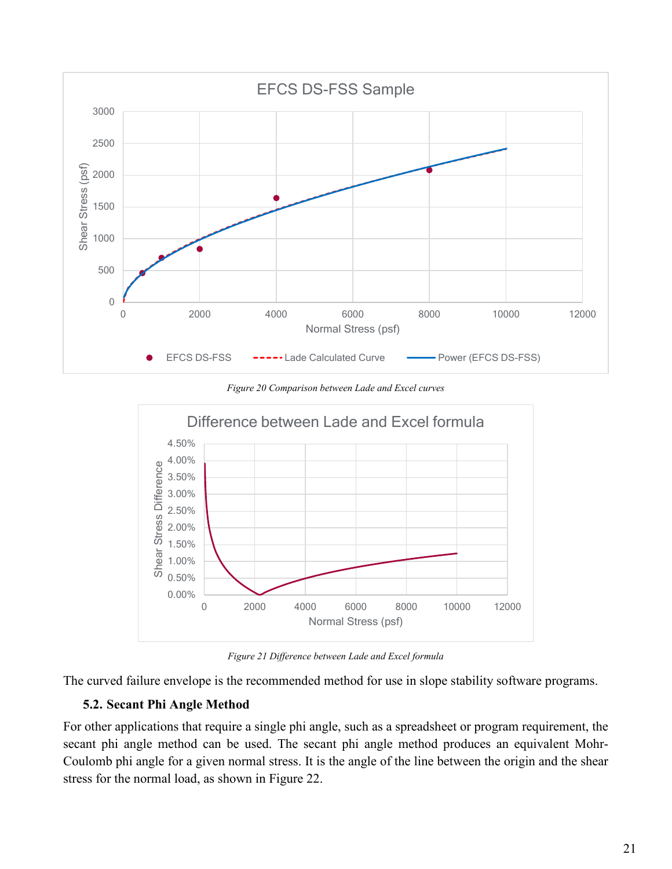

*Figure 20 Comparison between Lade and Excel curves*

<span id="page-3-0"></span>

*Figure 21 Difference between Lade and Excel formula*

<span id="page-3-1"></span>The curved failure envelope is the recommended method for use in slope stability software programs.

#### **5.2. Secant Phi Angle Method**

For other applications that require a single phi angle, such as a spreadsheet or program requirement, the secant phi angle method can be used. The secant phi angle method produces an equivalent Mohr-Coulomb phi angle for a given normal stress. It is the angle of the line between the origin and the shear stress for the normal load, as shown in [Figure 22.](#page-4-0)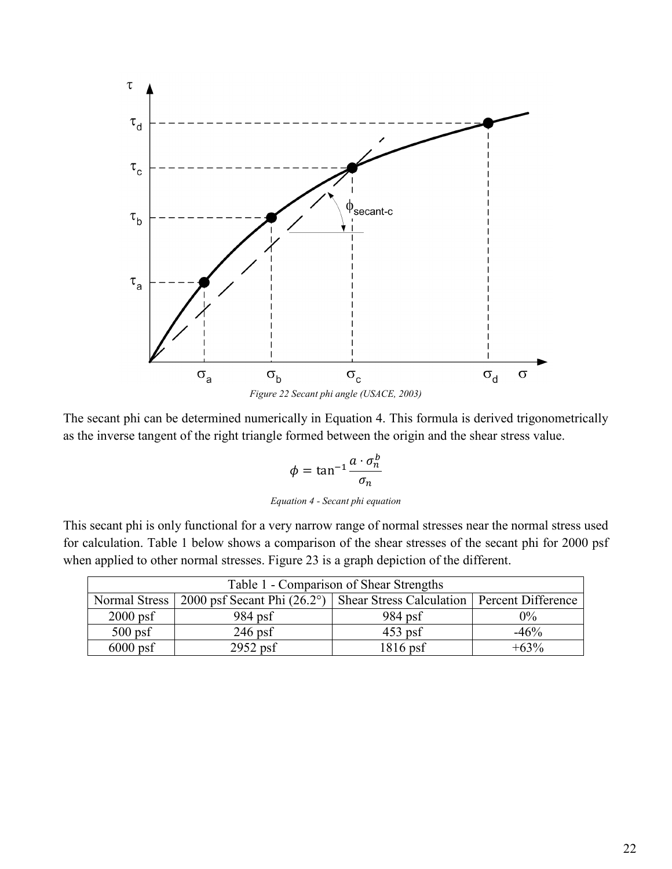

<span id="page-4-0"></span>The secant phi can be determined numerically in [Equation 4.](#page-4-1) This formula is derived trigonometrically as the inverse tangent of the right triangle formed between the origin and the shear stress value.

$$
\phi = \tan^{-1} \frac{a \cdot \sigma_n^b}{\sigma_n}
$$

*Equation 4 - Secant phi equation*

<span id="page-4-1"></span>This secant phi is only functional for a very narrow range of normal stresses near the normal stress used for calculation. [Table 1](#page-4-2) below shows a comparison of the shear stresses of the secant phi for 2000 psf when applied to other normal stresses. [Figure 23](#page-5-0) is a graph depiction of the different.

<span id="page-4-2"></span>

| Table 1 - Comparison of Shear Strengths |                                      |                                               |        |
|-----------------------------------------|--------------------------------------|-----------------------------------------------|--------|
| Normal Stress <sup>1</sup>              | 2000 psf Secant Phi $(26.2^{\circ})$ | Shear Stress Calculation   Percent Difference |        |
| $2000$ psf                              | $984$ psf                            | 984 psf                                       | $0\%$  |
| $500$ psf                               | $246$ psf                            | $453$ psf                                     | $-46%$ |
| $6000$ psf                              | $2952$ psf                           | $1816$ psf                                    | $+63%$ |